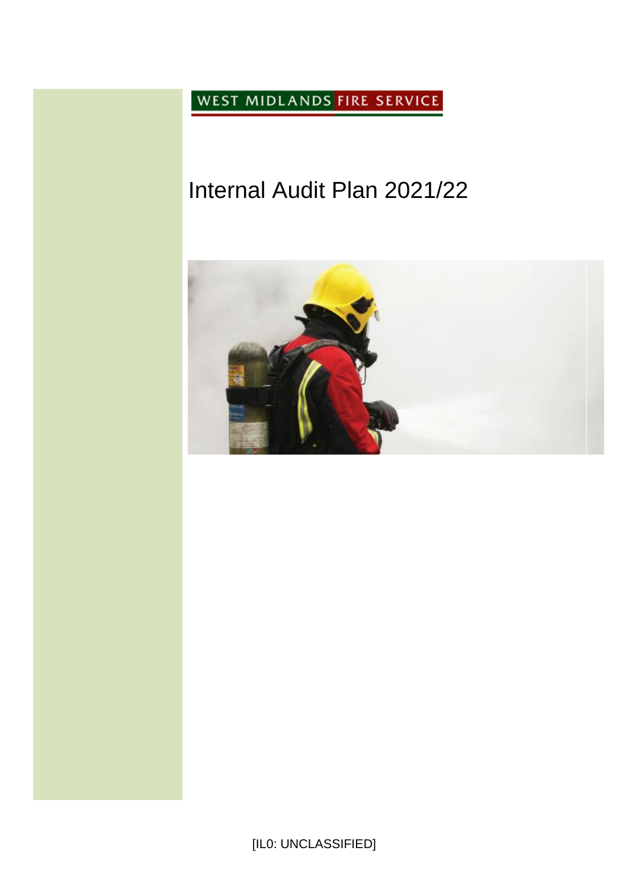WEST MIDLANDS FIRE SERVICE

# Internal Audit Plan 2021/22



[IL0: UNCLASSIFIED]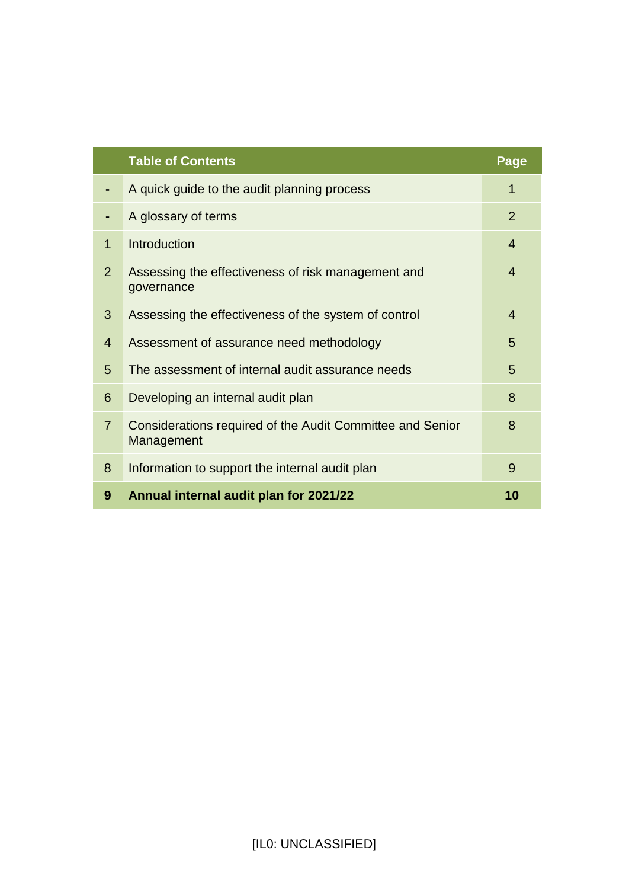|                | <b>Table of Contents</b>                                                | Page           |
|----------------|-------------------------------------------------------------------------|----------------|
|                | A quick guide to the audit planning process                             | 1              |
|                | A glossary of terms                                                     | $\overline{2}$ |
| $\mathbf 1$    | Introduction                                                            | $\overline{4}$ |
| $\overline{2}$ | Assessing the effectiveness of risk management and<br>governance        | $\overline{4}$ |
| 3              | Assessing the effectiveness of the system of control                    | $\overline{4}$ |
| $\overline{4}$ | Assessment of assurance need methodology                                | 5              |
| 5              | The assessment of internal audit assurance needs                        | 5              |
| 6              | Developing an internal audit plan                                       | 8              |
| $\overline{7}$ | Considerations required of the Audit Committee and Senior<br>Management | 8              |
| 8              | Information to support the internal audit plan                          | 9              |
| 9              | Annual internal audit plan for 2021/22                                  | 10             |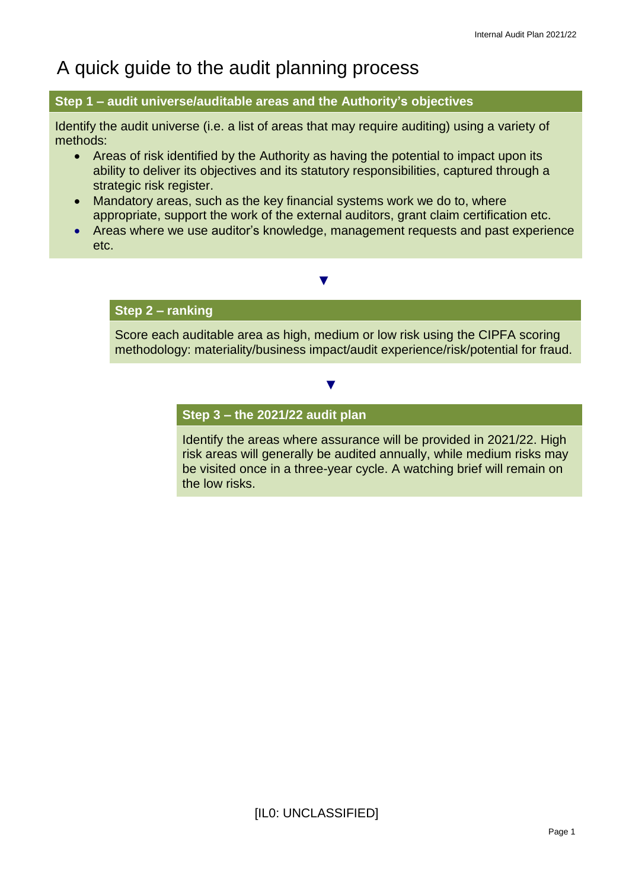## A quick guide to the audit planning process

#### **Step 1 – audit universe/auditable areas and the Authority's objectives**

Identify the audit universe (i.e. a list of areas that may require auditing) using a variety of methods:

- Areas of risk identified by the Authority as having the potential to impact upon its ability to deliver its objectives and its statutory responsibilities, captured through a strategic risk register.
- Mandatory areas, such as the key financial systems work we do to, where appropriate, support the work of the external auditors, grant claim certification etc.
- Areas where we use auditor's knowledge, management requests and past experience etc.

 **▼**

#### **Step 2 – ranking**

Score each auditable area as high, medium or low risk using the CIPFA scoring methodology: materiality/business impact/audit experience/risk/potential for fraud.

 **▼**

#### **Step 3 – the 2021/22 audit plan**

Identify the areas where assurance will be provided in 2021/22. High risk areas will generally be audited annually, while medium risks may be visited once in a three-year cycle. A watching brief will remain on the low risks.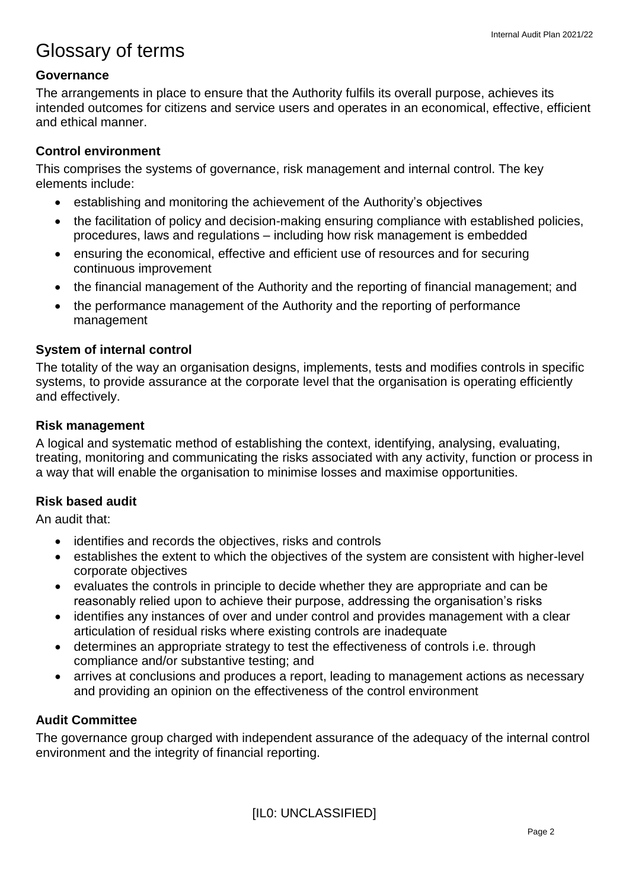## Glossary of terms

### **Governance**

The arrangements in place to ensure that the Authority fulfils its overall purpose, achieves its intended outcomes for citizens and service users and operates in an economical, effective, efficient and ethical manner.

### **Control environment**

This comprises the systems of governance, risk management and internal control. The key elements include:

- establishing and monitoring the achievement of the Authority's objectives
- the facilitation of policy and decision-making ensuring compliance with established policies, procedures, laws and regulations – including how risk management is embedded
- ensuring the economical, effective and efficient use of resources and for securing continuous improvement
- the financial management of the Authority and the reporting of financial management; and
- the performance management of the Authority and the reporting of performance management

### **System of internal control**

The totality of the way an organisation designs, implements, tests and modifies controls in specific systems, to provide assurance at the corporate level that the organisation is operating efficiently and effectively.

### **Risk management**

A logical and systematic method of establishing the context, identifying, analysing, evaluating, treating, monitoring and communicating the risks associated with any activity, function or process in a way that will enable the organisation to minimise losses and maximise opportunities.

### **Risk based audit**

An audit that:

- identifies and records the objectives, risks and controls
- establishes the extent to which the objectives of the system are consistent with higher-level corporate objectives
- evaluates the controls in principle to decide whether they are appropriate and can be reasonably relied upon to achieve their purpose, addressing the organisation's risks
- identifies any instances of over and under control and provides management with a clear articulation of residual risks where existing controls are inadequate
- determines an appropriate strategy to test the effectiveness of controls i.e. through compliance and/or substantive testing; and
- arrives at conclusions and produces a report, leading to management actions as necessary and providing an opinion on the effectiveness of the control environment

### **Audit Committee**

The governance group charged with independent assurance of the adequacy of the internal control environment and the integrity of financial reporting.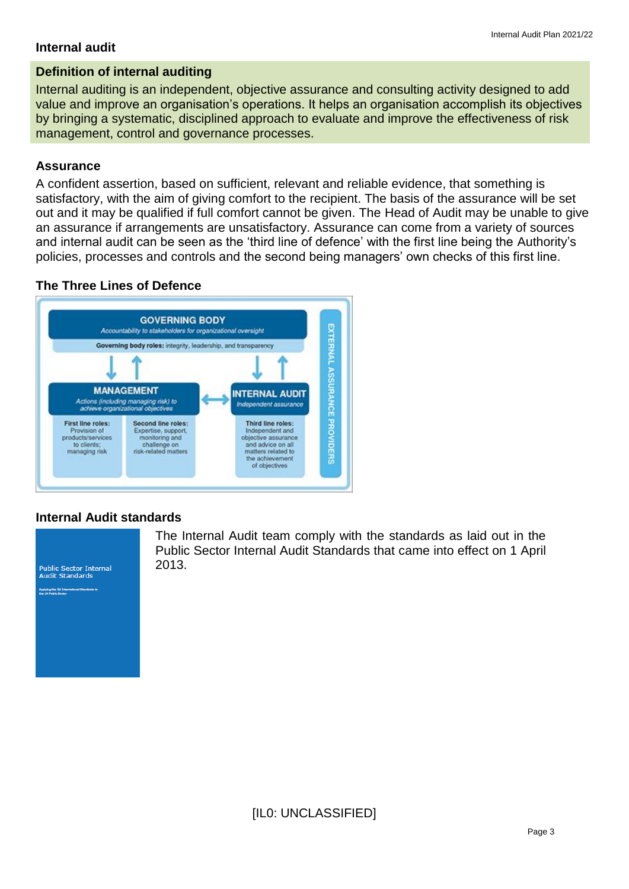#### **Internal audit**

### **Definition of internal auditing**

Internal auditing is an independent, objective assurance and consulting activity designed to add value and improve an organisation's operations. It helps an organisation accomplish its objectives by bringing a systematic, disciplined approach to evaluate and improve the effectiveness of risk management, control and governance processes.

### **Assurance**

A confident assertion, based on sufficient, relevant and reliable evidence, that something is satisfactory, with the aim of giving comfort to the recipient. The basis of the assurance will be set out and it may be qualified if full comfort cannot be given. The Head of Audit may be unable to give an assurance if arrangements are unsatisfactory. Assurance can come from a variety of sources and internal audit can be seen as the 'third line of defence' with the first line being the Authority's policies, processes and controls and the second being managers' own checks of this first line.

### **The Three Lines of Defence**



#### **Internal Audit standards**



The Internal Audit team comply with the standards as laid out in the Public Sector Internal Audit Standards that came into effect on 1 April 2013.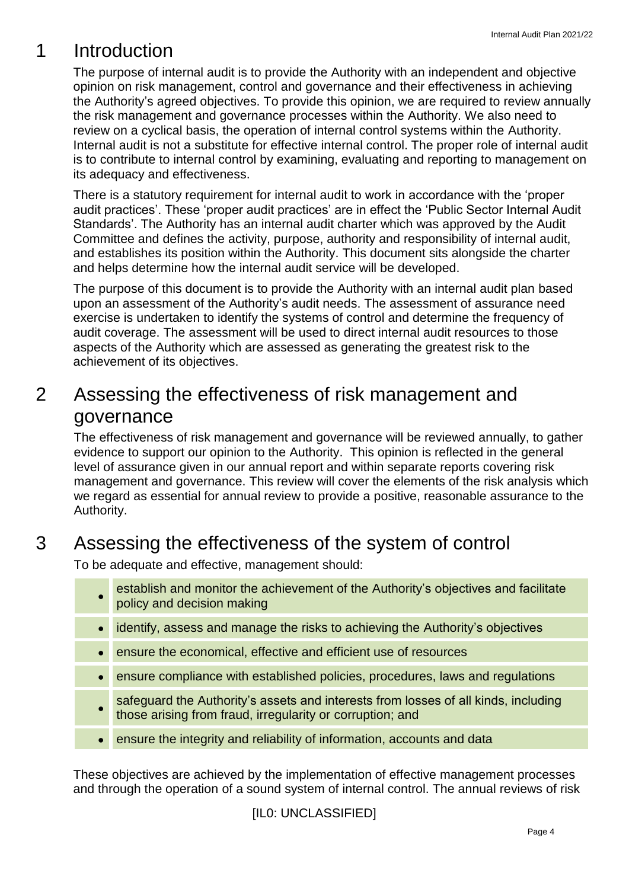## 1 Introduction

The purpose of internal audit is to provide the Authority with an independent and objective opinion on risk management, control and governance and their effectiveness in achieving the Authority's agreed objectives. To provide this opinion, we are required to review annually the risk management and governance processes within the Authority. We also need to review on a cyclical basis, the operation of internal control systems within the Authority. Internal audit is not a substitute for effective internal control. The proper role of internal audit is to contribute to internal control by examining, evaluating and reporting to management on its adequacy and effectiveness.

There is a statutory requirement for internal audit to work in accordance with the 'proper audit practices'. These 'proper audit practices' are in effect the 'Public Sector Internal Audit Standards'. The Authority has an internal audit charter which was approved by the Audit Committee and defines the activity, purpose, authority and responsibility of internal audit, and establishes its position within the Authority. This document sits alongside the charter and helps determine how the internal audit service will be developed.

The purpose of this document is to provide the Authority with an internal audit plan based upon an assessment of the Authority's audit needs. The assessment of assurance need exercise is undertaken to identify the systems of control and determine the frequency of audit coverage. The assessment will be used to direct internal audit resources to those aspects of the Authority which are assessed as generating the greatest risk to the achievement of its objectives.

### 2 Assessing the effectiveness of risk management and governance

The effectiveness of risk management and governance will be reviewed annually, to gather evidence to support our opinion to the Authority. This opinion is reflected in the general level of assurance given in our annual report and within separate reports covering risk management and governance. This review will cover the elements of the risk analysis which we regard as essential for annual review to provide a positive, reasonable assurance to the Authority.

## 3 Assessing the effectiveness of the system of control

To be adequate and effective, management should:

- establish and monitor the achievement of the Authority's objectives and facilitate policy and decision making
- identify, assess and manage the risks to achieving the Authority's objectives
- ensure the economical, effective and efficient use of resources
- ensure compliance with established policies, procedures, laws and regulations
- safeguard the Authority's assets and interests from losses of all kinds, including those arising from fraud, irregularity or corruption; and
- ensure the integrity and reliability of information, accounts and data

These objectives are achieved by the implementation of effective management processes and through the operation of a sound system of internal control. The annual reviews of risk

[IL0: UNCLASSIFIED]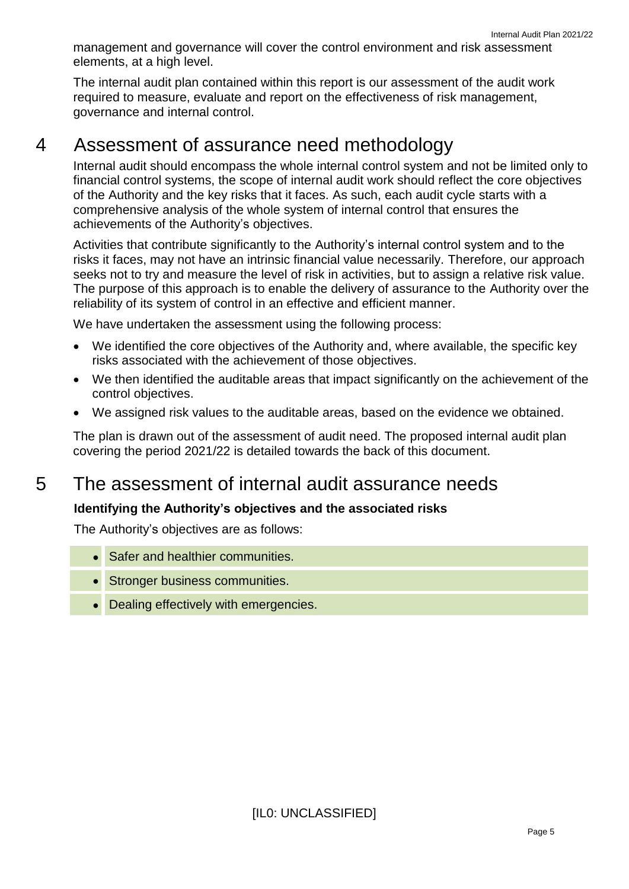Internal Audit Plan 2021/22 management and governance will cover the control environment and risk assessment elements, at a high level.

The internal audit plan contained within this report is our assessment of the audit work required to measure, evaluate and report on the effectiveness of risk management, governance and internal control.

### 4 Assessment of assurance need methodology

Internal audit should encompass the whole internal control system and not be limited only to financial control systems, the scope of internal audit work should reflect the core objectives of the Authority and the key risks that it faces. As such, each audit cycle starts with a comprehensive analysis of the whole system of internal control that ensures the achievements of the Authority's objectives.

Activities that contribute significantly to the Authority's internal control system and to the risks it faces, may not have an intrinsic financial value necessarily. Therefore, our approach seeks not to try and measure the level of risk in activities, but to assign a relative risk value. The purpose of this approach is to enable the delivery of assurance to the Authority over the reliability of its system of control in an effective and efficient manner.

We have undertaken the assessment using the following process:

- We identified the core objectives of the Authority and, where available, the specific key risks associated with the achievement of those objectives.
- We then identified the auditable areas that impact significantly on the achievement of the control objectives.
- We assigned risk values to the auditable areas, based on the evidence we obtained.

The plan is drawn out of the assessment of audit need. The proposed internal audit plan covering the period 2021/22 is detailed towards the back of this document.

### 5 The assessment of internal audit assurance needs

### **Identifying the Authority's objectives and the associated risks**

The Authority's objectives are as follows:

- Safer and healthier communities.
- Stronger business communities.
- Dealing effectively with emergencies.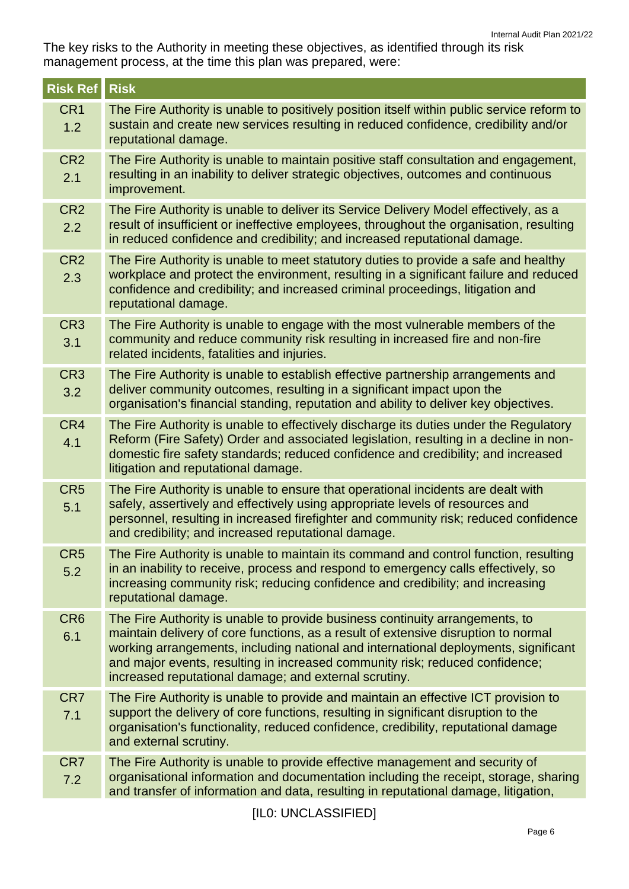The key risks to the Authority in meeting these objectives, as identified through its risk management process, at the time this plan was prepared, were:

| <b>Risk Ref</b>        | <b>Risk</b>                                                                                                                                                                                                                                                                                                                                                                                        |
|------------------------|----------------------------------------------------------------------------------------------------------------------------------------------------------------------------------------------------------------------------------------------------------------------------------------------------------------------------------------------------------------------------------------------------|
| CR <sub>1</sub><br>1.2 | The Fire Authority is unable to positively position itself within public service reform to<br>sustain and create new services resulting in reduced confidence, credibility and/or<br>reputational damage.                                                                                                                                                                                          |
| CR <sub>2</sub><br>2.1 | The Fire Authority is unable to maintain positive staff consultation and engagement,<br>resulting in an inability to deliver strategic objectives, outcomes and continuous<br>improvement.                                                                                                                                                                                                         |
| CR <sub>2</sub><br>2.2 | The Fire Authority is unable to deliver its Service Delivery Model effectively, as a<br>result of insufficient or ineffective employees, throughout the organisation, resulting<br>in reduced confidence and credibility; and increased reputational damage.                                                                                                                                       |
| CR <sub>2</sub><br>2.3 | The Fire Authority is unable to meet statutory duties to provide a safe and healthy<br>workplace and protect the environment, resulting in a significant failure and reduced<br>confidence and credibility; and increased criminal proceedings, litigation and<br>reputational damage.                                                                                                             |
| CR <sub>3</sub><br>3.1 | The Fire Authority is unable to engage with the most vulnerable members of the<br>community and reduce community risk resulting in increased fire and non-fire<br>related incidents, fatalities and injuries.                                                                                                                                                                                      |
| CR <sub>3</sub><br>3.2 | The Fire Authority is unable to establish effective partnership arrangements and<br>deliver community outcomes, resulting in a significant impact upon the<br>organisation's financial standing, reputation and ability to deliver key objectives.                                                                                                                                                 |
| CR4<br>4.1             | The Fire Authority is unable to effectively discharge its duties under the Regulatory<br>Reform (Fire Safety) Order and associated legislation, resulting in a decline in non-<br>domestic fire safety standards; reduced confidence and credibility; and increased<br>litigation and reputational damage.                                                                                         |
| CR <sub>5</sub><br>5.1 | The Fire Authority is unable to ensure that operational incidents are dealt with<br>safely, assertively and effectively using appropriate levels of resources and<br>personnel, resulting in increased firefighter and community risk; reduced confidence<br>and credibility; and increased reputational damage.                                                                                   |
| CR <sub>5</sub><br>5.2 | The Fire Authority is unable to maintain its command and control function, resulting<br>in an inability to receive, process and respond to emergency calls effectively, so<br>increasing community risk; reducing confidence and credibility; and increasing<br>reputational damage.                                                                                                               |
| CR <sub>6</sub><br>6.1 | The Fire Authority is unable to provide business continuity arrangements, to<br>maintain delivery of core functions, as a result of extensive disruption to normal<br>working arrangements, including national and international deployments, significant<br>and major events, resulting in increased community risk; reduced confidence;<br>increased reputational damage; and external scrutiny. |
| CR7<br>7.1             | The Fire Authority is unable to provide and maintain an effective ICT provision to<br>support the delivery of core functions, resulting in significant disruption to the<br>organisation's functionality, reduced confidence, credibility, reputational damage<br>and external scrutiny.                                                                                                           |
| CR7<br>7.2             | The Fire Authority is unable to provide effective management and security of<br>organisational information and documentation including the receipt, storage, sharing<br>and transfer of information and data, resulting in reputational damage, litigation,                                                                                                                                        |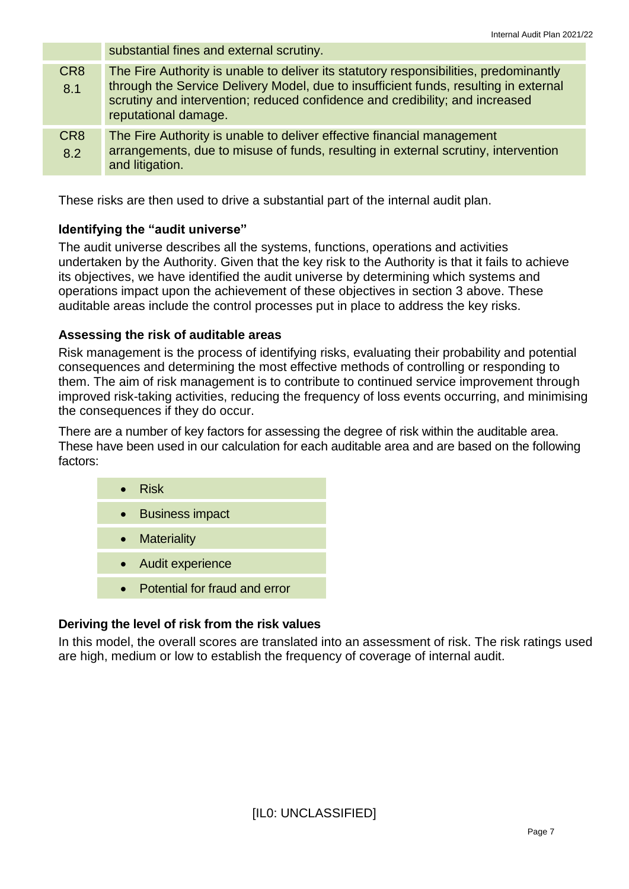substantial fines and external scrutiny. CR8 8.1 The Fire Authority is unable to deliver its statutory responsibilities, predominantly through the Service Delivery Model, due to insufficient funds, resulting in external scrutiny and intervention; reduced confidence and credibility; and increased reputational damage. CR8 8.2 The Fire Authority is unable to deliver effective financial management arrangements, due to misuse of funds, resulting in external scrutiny, intervention and litigation.

These risks are then used to drive a substantial part of the internal audit plan.

### **Identifying the "audit universe"**

The audit universe describes all the systems, functions, operations and activities undertaken by the Authority. Given that the key risk to the Authority is that it fails to achieve its objectives, we have identified the audit universe by determining which systems and operations impact upon the achievement of these objectives in section 3 above. These auditable areas include the control processes put in place to address the key risks.

### **Assessing the risk of auditable areas**

Risk management is the process of identifying risks, evaluating their probability and potential consequences and determining the most effective methods of controlling or responding to them. The aim of risk management is to contribute to continued service improvement through improved risk-taking activities, reducing the frequency of loss events occurring, and minimising the consequences if they do occur.

There are a number of key factors for assessing the degree of risk within the auditable area. These have been used in our calculation for each auditable area and are based on the following factors:

| $\bullet$ Risk     |
|--------------------|
| • Business impact  |
| • Materiality      |
| • Audit experience |
|                    |

• Potential for fraud and error

### **Deriving the level of risk from the risk values**

In this model, the overall scores are translated into an assessment of risk. The risk ratings used are high, medium or low to establish the frequency of coverage of internal audit.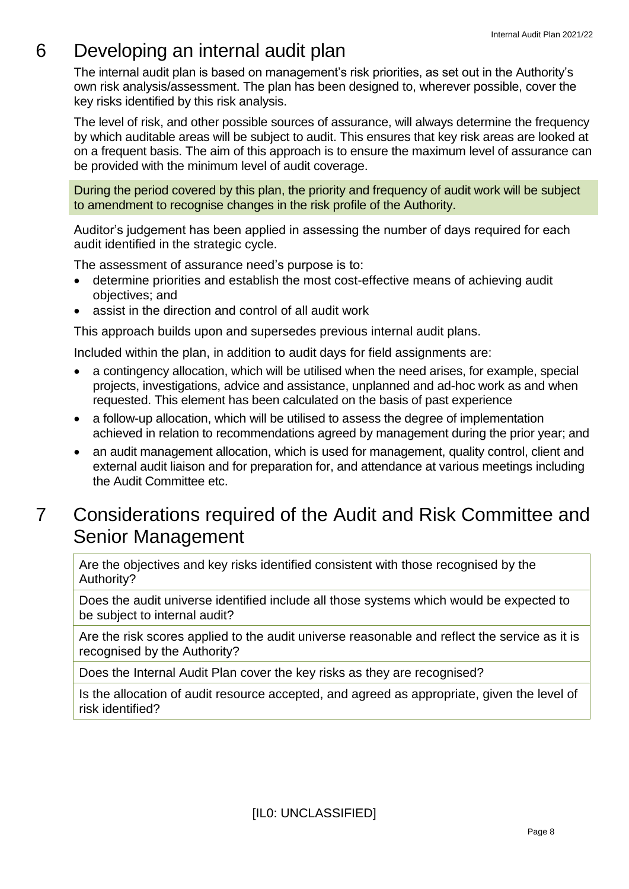## 6 Developing an internal audit plan

The internal audit plan is based on management's risk priorities, as set out in the Authority's own risk analysis/assessment. The plan has been designed to, wherever possible, cover the key risks identified by this risk analysis.

The level of risk, and other possible sources of assurance, will always determine the frequency by which auditable areas will be subject to audit. This ensures that key risk areas are looked at on a frequent basis. The aim of this approach is to ensure the maximum level of assurance can be provided with the minimum level of audit coverage.

During the period covered by this plan, the priority and frequency of audit work will be subject to amendment to recognise changes in the risk profile of the Authority.

Auditor's judgement has been applied in assessing the number of days required for each audit identified in the strategic cycle.

The assessment of assurance need's purpose is to:

- determine priorities and establish the most cost-effective means of achieving audit objectives; and
- assist in the direction and control of all audit work

This approach builds upon and supersedes previous internal audit plans.

Included within the plan, in addition to audit days for field assignments are:

- a contingency allocation, which will be utilised when the need arises, for example, special projects, investigations, advice and assistance, unplanned and ad-hoc work as and when requested. This element has been calculated on the basis of past experience
- a follow-up allocation, which will be utilised to assess the degree of implementation achieved in relation to recommendations agreed by management during the prior year; and
- an audit management allocation, which is used for management, quality control, client and external audit liaison and for preparation for, and attendance at various meetings including the Audit Committee etc.

### 7 Considerations required of the Audit and Risk Committee and Senior Management

Are the objectives and key risks identified consistent with those recognised by the Authority?

Does the audit universe identified include all those systems which would be expected to be subject to internal audit?

Are the risk scores applied to the audit universe reasonable and reflect the service as it is recognised by the Authority?

Does the Internal Audit Plan cover the key risks as they are recognised?

Is the allocation of audit resource accepted, and agreed as appropriate, given the level of risk identified?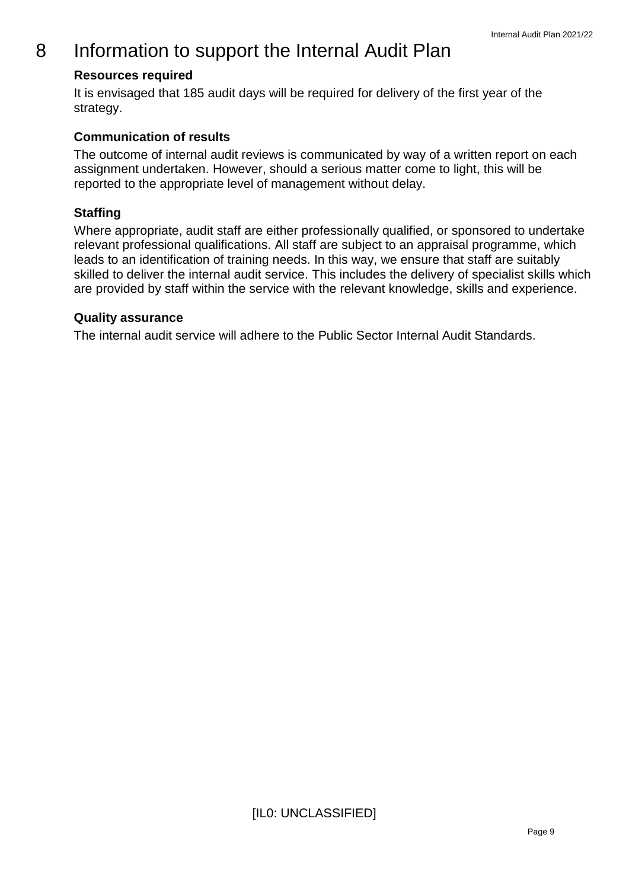### 8 Information to support the Internal Audit Plan

### **Resources required**

It is envisaged that 185 audit days will be required for delivery of the first year of the strategy.

### **Communication of results**

The outcome of internal audit reviews is communicated by way of a written report on each assignment undertaken. However, should a serious matter come to light, this will be reported to the appropriate level of management without delay.

### **Staffing**

Where appropriate, audit staff are either professionally qualified, or sponsored to undertake relevant professional qualifications. All staff are subject to an appraisal programme, which leads to an identification of training needs. In this way, we ensure that staff are suitably skilled to deliver the internal audit service. This includes the delivery of specialist skills which are provided by staff within the service with the relevant knowledge, skills and experience.

#### **Quality assurance**

The internal audit service will adhere to the Public Sector Internal Audit Standards.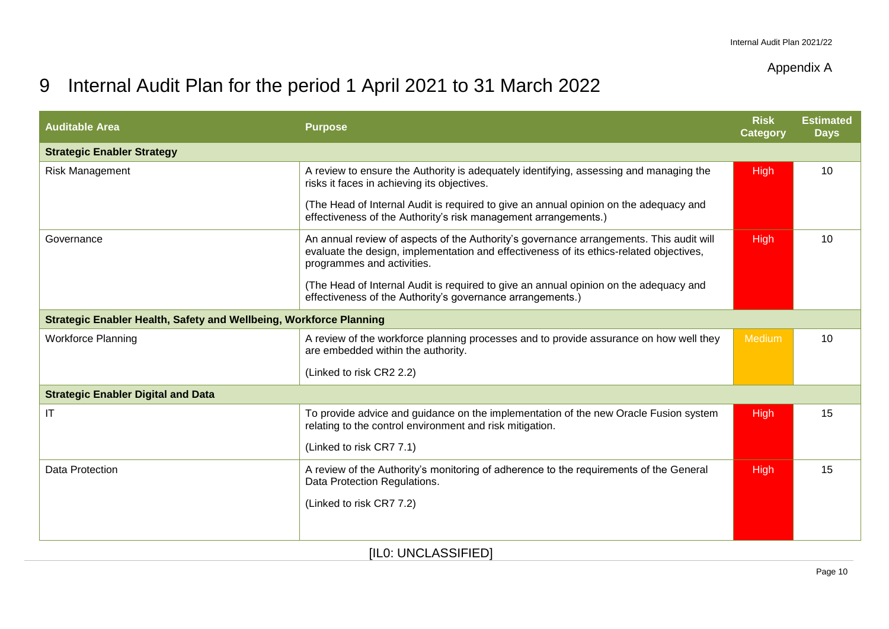### Appendix A

## 9 Internal Audit Plan for the period 1 April 2021 to 31 March 2022

| <b>Auditable Area</b>                                              | <b>Purpose</b>                                                                                                                                                                                                   | <b>Risk</b><br><b>Category</b> | <b>Estimated</b><br><b>Days</b> |
|--------------------------------------------------------------------|------------------------------------------------------------------------------------------------------------------------------------------------------------------------------------------------------------------|--------------------------------|---------------------------------|
| <b>Strategic Enabler Strategy</b>                                  |                                                                                                                                                                                                                  |                                |                                 |
| Risk Management                                                    | A review to ensure the Authority is adequately identifying, assessing and managing the<br>risks it faces in achieving its objectives.                                                                            | High                           | 10                              |
|                                                                    | (The Head of Internal Audit is required to give an annual opinion on the adequacy and<br>effectiveness of the Authority's risk management arrangements.)                                                         |                                |                                 |
| Governance                                                         | An annual review of aspects of the Authority's governance arrangements. This audit will<br>evaluate the design, implementation and effectiveness of its ethics-related objectives,<br>programmes and activities. | High                           | 10                              |
|                                                                    | (The Head of Internal Audit is required to give an annual opinion on the adequacy and<br>effectiveness of the Authority's governance arrangements.)                                                              |                                |                                 |
| Strategic Enabler Health, Safety and Wellbeing, Workforce Planning |                                                                                                                                                                                                                  |                                |                                 |
| <b>Workforce Planning</b>                                          | A review of the workforce planning processes and to provide assurance on how well they<br>are embedded within the authority.                                                                                     | Medium                         | 10                              |
|                                                                    | (Linked to risk CR2 2.2)                                                                                                                                                                                         |                                |                                 |
| <b>Strategic Enabler Digital and Data</b>                          |                                                                                                                                                                                                                  |                                |                                 |
| IT                                                                 | To provide advice and guidance on the implementation of the new Oracle Fusion system<br>relating to the control environment and risk mitigation.                                                                 | <b>High</b>                    | 15                              |
|                                                                    | (Linked to risk CR7 7.1)                                                                                                                                                                                         |                                |                                 |
| <b>Data Protection</b>                                             | A review of the Authority's monitoring of adherence to the requirements of the General<br>Data Protection Regulations.                                                                                           | High                           | 15                              |
|                                                                    | (Linked to risk CR7 7.2)                                                                                                                                                                                         |                                |                                 |
|                                                                    |                                                                                                                                                                                                                  |                                |                                 |
|                                                                    |                                                                                                                                                                                                                  |                                |                                 |

[IL0: UNCLASSIFIED]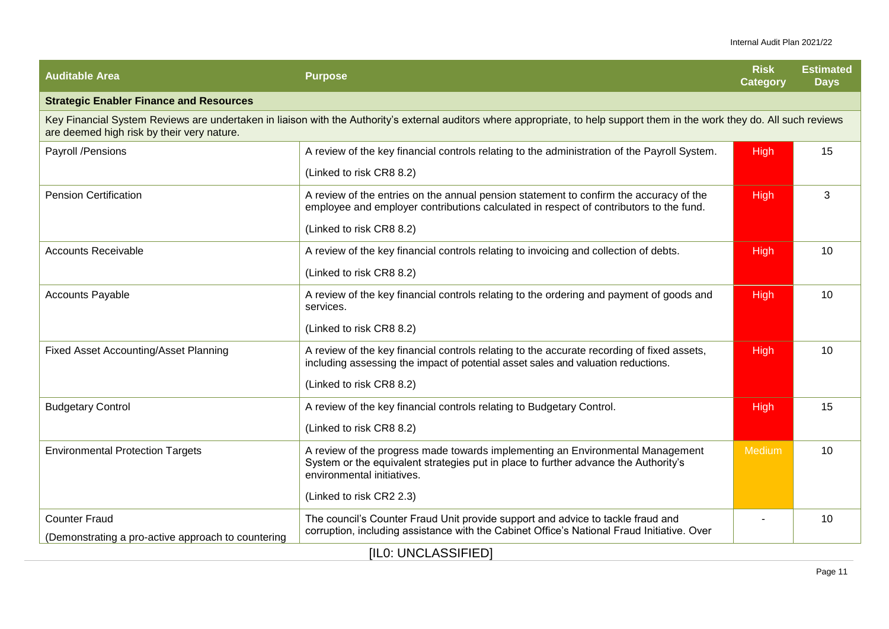| <b>Auditable Area</b>                                                                                                                                                                                                     | <b>Purpose</b>                                                                                                                                                                                      | <b>Risk</b><br>Category | <b>Estimated</b><br><b>Days</b> |  |
|---------------------------------------------------------------------------------------------------------------------------------------------------------------------------------------------------------------------------|-----------------------------------------------------------------------------------------------------------------------------------------------------------------------------------------------------|-------------------------|---------------------------------|--|
| <b>Strategic Enabler Finance and Resources</b>                                                                                                                                                                            |                                                                                                                                                                                                     |                         |                                 |  |
| Key Financial System Reviews are undertaken in liaison with the Authority's external auditors where appropriate, to help support them in the work they do. All such reviews<br>are deemed high risk by their very nature. |                                                                                                                                                                                                     |                         |                                 |  |
| Payroll /Pensions                                                                                                                                                                                                         | A review of the key financial controls relating to the administration of the Payroll System.                                                                                                        | <b>High</b>             | 15                              |  |
|                                                                                                                                                                                                                           | (Linked to risk CR8 8.2)                                                                                                                                                                            |                         |                                 |  |
| <b>Pension Certification</b>                                                                                                                                                                                              | A review of the entries on the annual pension statement to confirm the accuracy of the<br>employee and employer contributions calculated in respect of contributors to the fund.                    | High                    | 3                               |  |
|                                                                                                                                                                                                                           | (Linked to risk CR8 8.2)                                                                                                                                                                            |                         |                                 |  |
| <b>Accounts Receivable</b>                                                                                                                                                                                                | A review of the key financial controls relating to invoicing and collection of debts.                                                                                                               | <b>High</b>             | 10                              |  |
|                                                                                                                                                                                                                           | (Linked to risk CR8 8.2)                                                                                                                                                                            |                         |                                 |  |
| <b>Accounts Payable</b>                                                                                                                                                                                                   | A review of the key financial controls relating to the ordering and payment of goods and<br>services.                                                                                               | High                    | 10                              |  |
|                                                                                                                                                                                                                           | (Linked to risk CR8 8.2)                                                                                                                                                                            |                         |                                 |  |
| <b>Fixed Asset Accounting/Asset Planning</b>                                                                                                                                                                              | A review of the key financial controls relating to the accurate recording of fixed assets,<br>including assessing the impact of potential asset sales and valuation reductions.                     | <b>High</b>             | 10                              |  |
|                                                                                                                                                                                                                           | (Linked to risk CR8 8.2)                                                                                                                                                                            |                         |                                 |  |
| <b>Budgetary Control</b>                                                                                                                                                                                                  | A review of the key financial controls relating to Budgetary Control.                                                                                                                               | High                    | 15                              |  |
|                                                                                                                                                                                                                           | (Linked to risk CR8 8.2)                                                                                                                                                                            |                         |                                 |  |
| <b>Environmental Protection Targets</b>                                                                                                                                                                                   | A review of the progress made towards implementing an Environmental Management<br>System or the equivalent strategies put in place to further advance the Authority's<br>environmental initiatives. | Medium                  | 10                              |  |
|                                                                                                                                                                                                                           | (Linked to risk CR2 2.3)                                                                                                                                                                            |                         |                                 |  |
| <b>Counter Fraud</b>                                                                                                                                                                                                      | The council's Counter Fraud Unit provide support and advice to tackle fraud and                                                                                                                     |                         | 10                              |  |
| (Demonstrating a pro-active approach to countering                                                                                                                                                                        | corruption, including assistance with the Cabinet Office's National Fraud Initiative. Over                                                                                                          |                         |                                 |  |
| [ILO: UNCLASSIFIED]                                                                                                                                                                                                       |                                                                                                                                                                                                     |                         |                                 |  |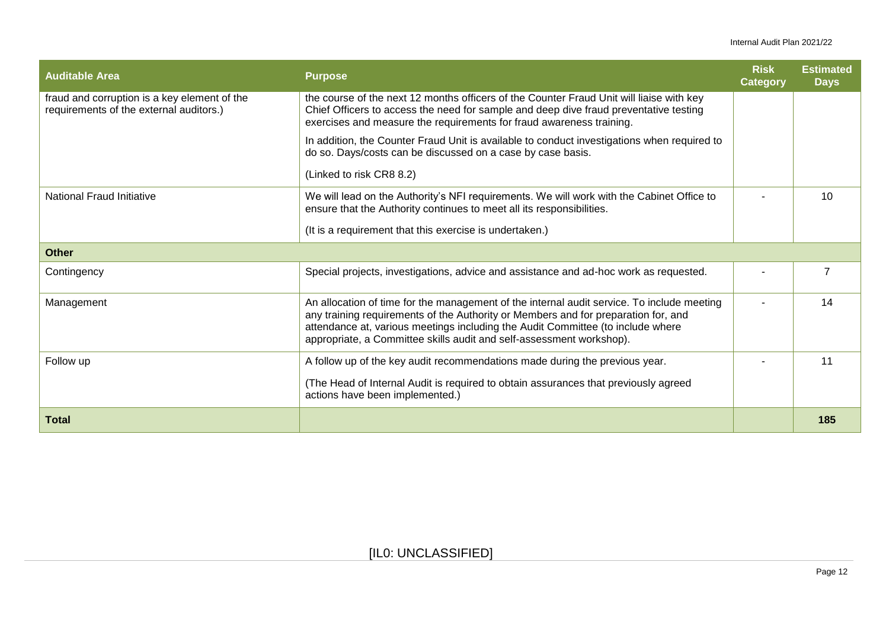#### Internal Audit Plan 2021/22

| <b>Auditable Area</b>                                                                   | <b>Purpose</b>                                                                                                                                                                                                                                                                                                                              | <b>Risk</b><br>Category | <b>Estimated</b><br><b>Days</b> |
|-----------------------------------------------------------------------------------------|---------------------------------------------------------------------------------------------------------------------------------------------------------------------------------------------------------------------------------------------------------------------------------------------------------------------------------------------|-------------------------|---------------------------------|
| fraud and corruption is a key element of the<br>requirements of the external auditors.) | the course of the next 12 months officers of the Counter Fraud Unit will liaise with key<br>Chief Officers to access the need for sample and deep dive fraud preventative testing<br>exercises and measure the requirements for fraud awareness training.                                                                                   |                         |                                 |
|                                                                                         | In addition, the Counter Fraud Unit is available to conduct investigations when required to<br>do so. Days/costs can be discussed on a case by case basis.                                                                                                                                                                                  |                         |                                 |
|                                                                                         | (Linked to risk CR8 8.2)                                                                                                                                                                                                                                                                                                                    |                         |                                 |
| National Fraud Initiative                                                               | We will lead on the Authority's NFI requirements. We will work with the Cabinet Office to<br>ensure that the Authority continues to meet all its responsibilities.                                                                                                                                                                          |                         | 10                              |
|                                                                                         | (It is a requirement that this exercise is undertaken.)                                                                                                                                                                                                                                                                                     |                         |                                 |
| <b>Other</b>                                                                            |                                                                                                                                                                                                                                                                                                                                             |                         |                                 |
| Contingency                                                                             | Special projects, investigations, advice and assistance and ad-hoc work as requested.                                                                                                                                                                                                                                                       |                         |                                 |
| Management                                                                              | An allocation of time for the management of the internal audit service. To include meeting<br>any training requirements of the Authority or Members and for preparation for, and<br>attendance at, various meetings including the Audit Committee (to include where<br>appropriate, a Committee skills audit and self-assessment workshop). |                         | 14                              |
| Follow up                                                                               | A follow up of the key audit recommendations made during the previous year.                                                                                                                                                                                                                                                                 |                         | 11                              |
|                                                                                         | (The Head of Internal Audit is required to obtain assurances that previously agreed<br>actions have been implemented.)                                                                                                                                                                                                                      |                         |                                 |
| <b>Total</b>                                                                            |                                                                                                                                                                                                                                                                                                                                             |                         | 185                             |